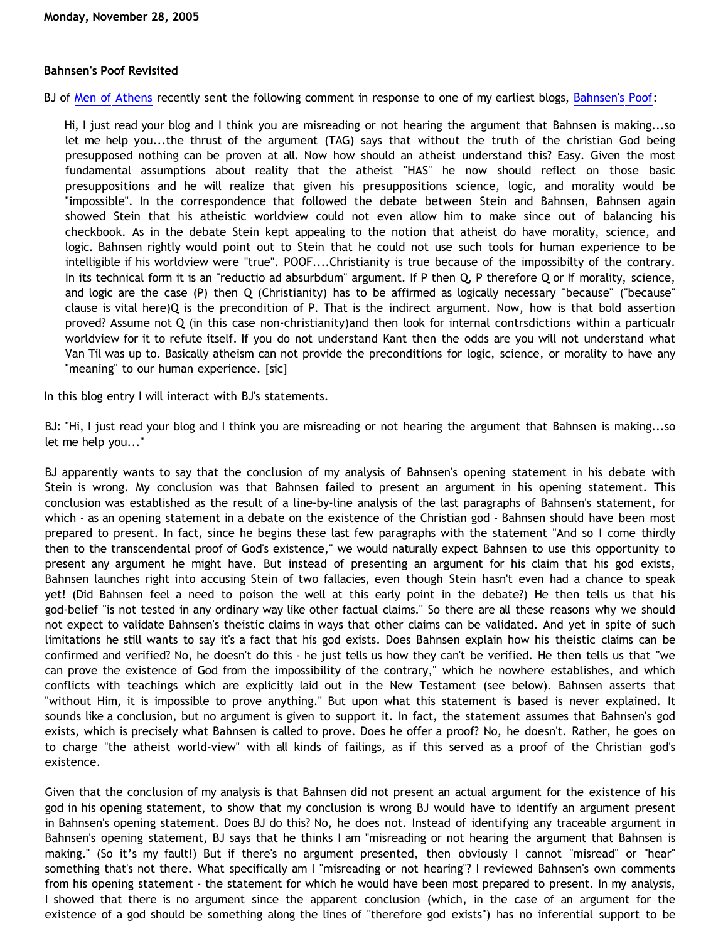## **Bahnsen's Poof Revisited**

BJ of [Men of Athens](http://menofathens.blogspot.com/) recently sent the following comment in response to one of my earliest blogs, [Bahnsen's Poof:](http://bahnsenburner.blogspot.com/2005/03/bahnsens-poof.html)

Hi, I just read your blog and I think you are misreading or not hearing the argument that Bahnsen is making...so let me help you...the thrust of the argument (TAG) says that without the truth of the christian God being presupposed nothing can be proven at all. Now how should an atheist understand this? Easy. Given the most fundamental assumptions about reality that the atheist "HAS" he now should reflect on those basic presuppositions and he will realize that given his presuppositions science, logic, and morality would be "impossible". In the correspondence that followed the debate between Stein and Bahnsen, Bahnsen again showed Stein that his atheistic worldview could not even allow him to make since out of balancing his checkbook. As in the debate Stein kept appealing to the notion that atheist do have morality, science, and logic. Bahnsen rightly would point out to Stein that he could not use such tools for human experience to be intelligible if his worldview were "true". POOF....Christianity is true because of the impossibilty of the contrary. In its technical form it is an "reductio ad absurbdum" argument. If P then Q, P therefore Q or If morality, science, and logic are the case (P) then Q (Christianity) has to be affirmed as logically necessary "because" ("because" clause is vital here)Q is the precondition of P. That is the indirect argument. Now, how is that bold assertion proved? Assume not Q (in this case non-christianity)and then look for internal contrsdictions within a particualr worldview for it to refute itself. If you do not understand Kant then the odds are you will not understand what Van Til was up to. Basically atheism can not provide the preconditions for logic, science, or morality to have any "meaning" to our human experience. [sic]

In this blog entry I will interact with BJ's statements.

BJ: "Hi, I just read your blog and I think you are misreading or not hearing the argument that Bahnsen is making...so let me help you..."

BJ apparently wants to say that the conclusion of my analysis of Bahnsen's opening statement in his debate with Stein is wrong. My conclusion was that Bahnsen failed to present an argument in his opening statement. This conclusion was established as the result of a line-by-line analysis of the last paragraphs of Bahnsen's statement, for which - as an opening statement in a debate on the existence of the Christian god - Bahnsen should have been most prepared to present. In fact, since he begins these last few paragraphs with the statement "And so I come thirdly then to the transcendental proof of God's existence," we would naturally expect Bahnsen to use this opportunity to present any argument he might have. But instead of presenting an argument for his claim that his god exists, Bahnsen launches right into accusing Stein of two fallacies, even though Stein hasn't even had a chance to speak yet! (Did Bahnsen feel a need to poison the well at this early point in the debate?) He then tells us that his god-belief "is not tested in any ordinary way like other factual claims." So there are all these reasons why we should not expect to validate Bahnsen's theistic claims in ways that other claims can be validated. And yet in spite of such limitations he still wants to say it's a fact that his god exists. Does Bahnsen explain how his theistic claims can be confirmed and verified? No, he doesn't do this - he just tells us how they can't be verified. He then tells us that "we can prove the existence of God from the impossibility of the contrary," which he nowhere establishes, and which conflicts with teachings which are explicitly laid out in the New Testament (see below). Bahnsen asserts that "without Him, it is impossible to prove anything." But upon what this statement is based is never explained. It sounds like a conclusion, but no argument is given to support it. In fact, the statement assumes that Bahnsen's god exists, which is precisely what Bahnsen is called to prove. Does he offer a proof? No, he doesn't. Rather, he goes on to charge "the atheist world-view" with all kinds of failings, as if this served as a proof of the Christian god's existence.

Given that the conclusion of my analysis is that Bahnsen did not present an actual argument for the existence of his god in his opening statement, to show that my conclusion is wrong BJ would have to identify an argument present in Bahnsen's opening statement. Does BJ do this? No, he does not. Instead of identifying any traceable argument in Bahnsen's opening statement, BJ says that he thinks I am "misreading or not hearing the argument that Bahnsen is making." (So it's my fault!) But if there's no argument presented, then obviously I cannot "misread" or "hear" something that's not there. What specifically am I "misreading or not hearing"? I reviewed Bahnsen's own comments from his opening statement - the statement for which he would have been most prepared to present. In my analysis, I showed that there is no argument since the apparent conclusion (which, in the case of an argument for the existence of a god should be something along the lines of "therefore god exists") has no inferential support to be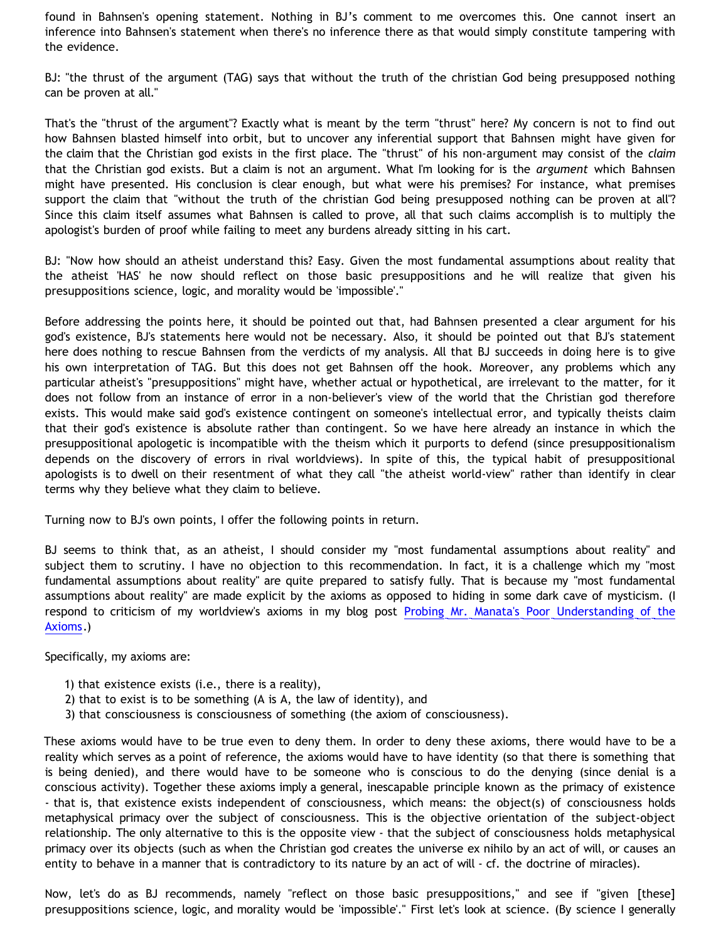found in Bahnsen's opening statement. Nothing in BJ's comment to me overcomes this. One cannot insert an inference into Bahnsen's statement when there's no inference there as that would simply constitute tampering with the evidence.

BJ: "the thrust of the argument (TAG) says that without the truth of the christian God being presupposed nothing can be proven at all."

That's the "thrust of the argument"? Exactly what is meant by the term "thrust" here? My concern is not to find out how Bahnsen blasted himself into orbit, but to uncover any inferential support that Bahnsen might have given for the claim that the Christian god exists in the first place. The "thrust" of his non-argument may consist of the *claim* that the Christian god exists. But a claim is not an argument. What I'm looking for is the *argument* which Bahnsen might have presented. His conclusion is clear enough, but what were his premises? For instance, what premises support the claim that "without the truth of the christian God being presupposed nothing can be proven at all"? Since this claim itself assumes what Bahnsen is called to prove, all that such claims accomplish is to multiply the apologist's burden of proof while failing to meet any burdens already sitting in his cart.

BJ: "Now how should an atheist understand this? Easy. Given the most fundamental assumptions about reality that the atheist 'HAS' he now should reflect on those basic presuppositions and he will realize that given his presuppositions science, logic, and morality would be 'impossible'."

Before addressing the points here, it should be pointed out that, had Bahnsen presented a clear argument for his god's existence, BJ's statements here would not be necessary. Also, it should be pointed out that BJ's statement here does nothing to rescue Bahnsen from the verdicts of my analysis. All that BJ succeeds in doing here is to give his own interpretation of TAG. But this does not get Bahnsen off the hook. Moreover, any problems which any particular atheist's "presuppositions" might have, whether actual or hypothetical, are irrelevant to the matter, for it does not follow from an instance of error in a non-believer's view of the world that the Christian god therefore exists. This would make said god's existence contingent on someone's intellectual error, and typically theists claim that their god's existence is absolute rather than contingent. So we have here already an instance in which the presuppositional apologetic is incompatible with the theism which it purports to defend (since presuppositionalism depends on the discovery of errors in rival worldviews). In spite of this, the typical habit of presuppositional apologists is to dwell on their resentment of what they call "the atheist world-view" rather than identify in clear terms why they believe what they claim to believe.

Turning now to BJ's own points, I offer the following points in return.

BJ seems to think that, as an atheist, I should consider my "most fundamental assumptions about reality" and subject them to scrutiny. I have no objection to this recommendation. In fact, it is a challenge which my "most fundamental assumptions about reality" are quite prepared to satisfy fully. That is because my "most fundamental assumptions about reality" are made explicit by the axioms as opposed to hiding in some dark cave of mysticism. (I respond to criticism of my worldview's axioms in my blog post [Probing Mr. Manata's Poor Understanding of the](http://bahnsenburner.blogspot.com/2005/10/probing-mr-manatas-poor-understanding.html) [Axioms.](http://bahnsenburner.blogspot.com/2005/10/probing-mr-manatas-poor-understanding.html))

Specifically, my axioms are:

- 1) that existence exists (i.e., there is a reality),
- 2) that to exist is to be something (A is A, the law of identity), and
- 3) that consciousness is consciousness of something (the axiom of consciousness).

These axioms would have to be true even to deny them. In order to deny these axioms, there would have to be a reality which serves as a point of reference, the axioms would have to have identity (so that there is something that is being denied), and there would have to be someone who is conscious to do the denying (since denial is a conscious activity). Together these axioms imply a general, inescapable principle known as the primacy of existence - that is, that existence exists independent of consciousness, which means: the object(s) of consciousness holds metaphysical primacy over the subject of consciousness. This is the objective orientation of the subject-object relationship. The only alternative to this is the opposite view - that the subject of consciousness holds metaphysical primacy over its objects (such as when the Christian god creates the universe ex nihilo by an act of will, or causes an entity to behave in a manner that is contradictory to its nature by an act of will - cf. the doctrine of miracles).

Now, let's do as BJ recommends, namely "reflect on those basic presuppositions," and see if "given [these] presuppositions science, logic, and morality would be 'impossible'." First let's look at science. (By science I generally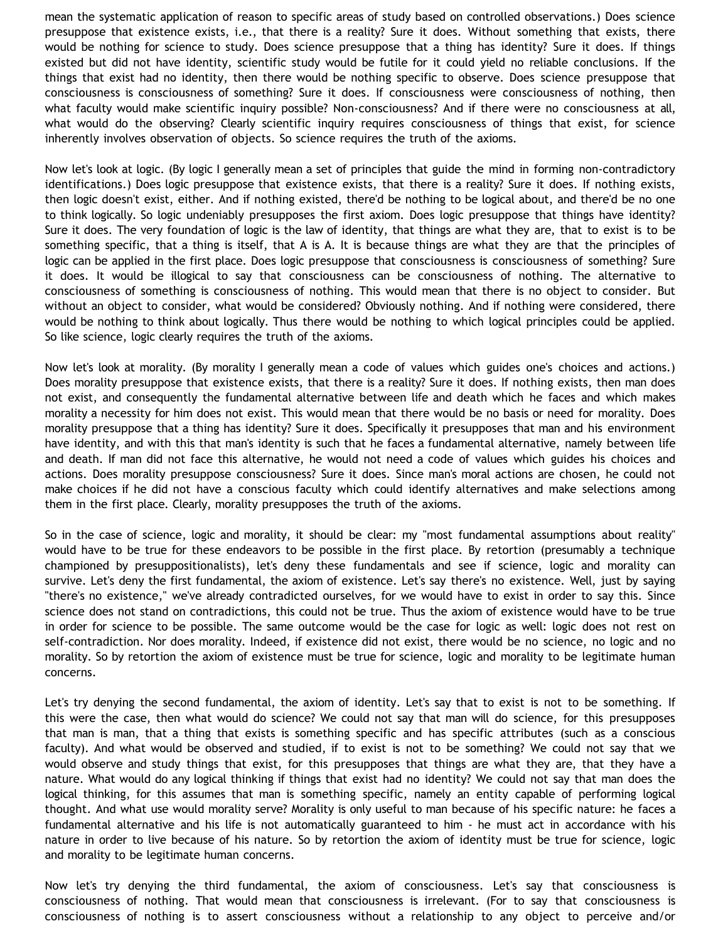mean the systematic application of reason to specific areas of study based on controlled observations.) Does science presuppose that existence exists, i.e., that there is a reality? Sure it does. Without something that exists, there would be nothing for science to study. Does science presuppose that a thing has identity? Sure it does. If things existed but did not have identity, scientific study would be futile for it could yield no reliable conclusions. If the things that exist had no identity, then there would be nothing specific to observe. Does science presuppose that consciousness is consciousness of something? Sure it does. If consciousness were consciousness of nothing, then what faculty would make scientific inquiry possible? Non-consciousness? And if there were no consciousness at all, what would do the observing? Clearly scientific inquiry requires consciousness of things that exist, for science inherently involves observation of objects. So science requires the truth of the axioms.

Now let's look at logic. (By logic I generally mean a set of principles that guide the mind in forming non-contradictory identifications.) Does logic presuppose that existence exists, that there is a reality? Sure it does. If nothing exists, then logic doesn't exist, either. And if nothing existed, there'd be nothing to be logical about, and there'd be no one to think logically. So logic undeniably presupposes the first axiom. Does logic presuppose that things have identity? Sure it does. The very foundation of logic is the law of identity, that things are what they are, that to exist is to be something specific, that a thing is itself, that A is A. It is because things are what they are that the principles of logic can be applied in the first place. Does logic presuppose that consciousness is consciousness of something? Sure it does. It would be illogical to say that consciousness can be consciousness of nothing. The alternative to consciousness of something is consciousness of nothing. This would mean that there is no object to consider. But without an object to consider, what would be considered? Obviously nothing. And if nothing were considered, there would be nothing to think about logically. Thus there would be nothing to which logical principles could be applied. So like science, logic clearly requires the truth of the axioms.

Now let's look at morality. (By morality I generally mean a code of values which guides one's choices and actions.) Does morality presuppose that existence exists, that there is a reality? Sure it does. If nothing exists, then man does not exist, and consequently the fundamental alternative between life and death which he faces and which makes morality a necessity for him does not exist. This would mean that there would be no basis or need for morality. Does morality presuppose that a thing has identity? Sure it does. Specifically it presupposes that man and his environment have identity, and with this that man's identity is such that he faces a fundamental alternative, namely between life and death. If man did not face this alternative, he would not need a code of values which guides his choices and actions. Does morality presuppose consciousness? Sure it does. Since man's moral actions are chosen, he could not make choices if he did not have a conscious faculty which could identify alternatives and make selections among them in the first place. Clearly, morality presupposes the truth of the axioms.

So in the case of science, logic and morality, it should be clear: my "most fundamental assumptions about reality" would have to be true for these endeavors to be possible in the first place. By retortion (presumably a technique championed by presuppositionalists), let's deny these fundamentals and see if science, logic and morality can survive. Let's deny the first fundamental, the axiom of existence. Let's say there's no existence. Well, just by saying "there's no existence," we've already contradicted ourselves, for we would have to exist in order to say this. Since science does not stand on contradictions, this could not be true. Thus the axiom of existence would have to be true in order for science to be possible. The same outcome would be the case for logic as well: logic does not rest on self-contradiction. Nor does morality. Indeed, if existence did not exist, there would be no science, no logic and no morality. So by retortion the axiom of existence must be true for science, logic and morality to be legitimate human concerns.

Let's try denying the second fundamental, the axiom of identity. Let's say that to exist is not to be something. If this were the case, then what would do science? We could not say that man will do science, for this presupposes that man is man, that a thing that exists is something specific and has specific attributes (such as a conscious faculty). And what would be observed and studied, if to exist is not to be something? We could not say that we would observe and study things that exist, for this presupposes that things are what they are, that they have a nature. What would do any logical thinking if things that exist had no identity? We could not say that man does the logical thinking, for this assumes that man is something specific, namely an entity capable of performing logical thought. And what use would morality serve? Morality is only useful to man because of his specific nature: he faces a fundamental alternative and his life is not automatically guaranteed to him - he must act in accordance with his nature in order to live because of his nature. So by retortion the axiom of identity must be true for science, logic and morality to be legitimate human concerns.

Now let's try denying the third fundamental, the axiom of consciousness. Let's say that consciousness is consciousness of nothing. That would mean that consciousness is irrelevant. (For to say that consciousness is consciousness of nothing is to assert consciousness without a relationship to any object to perceive and/or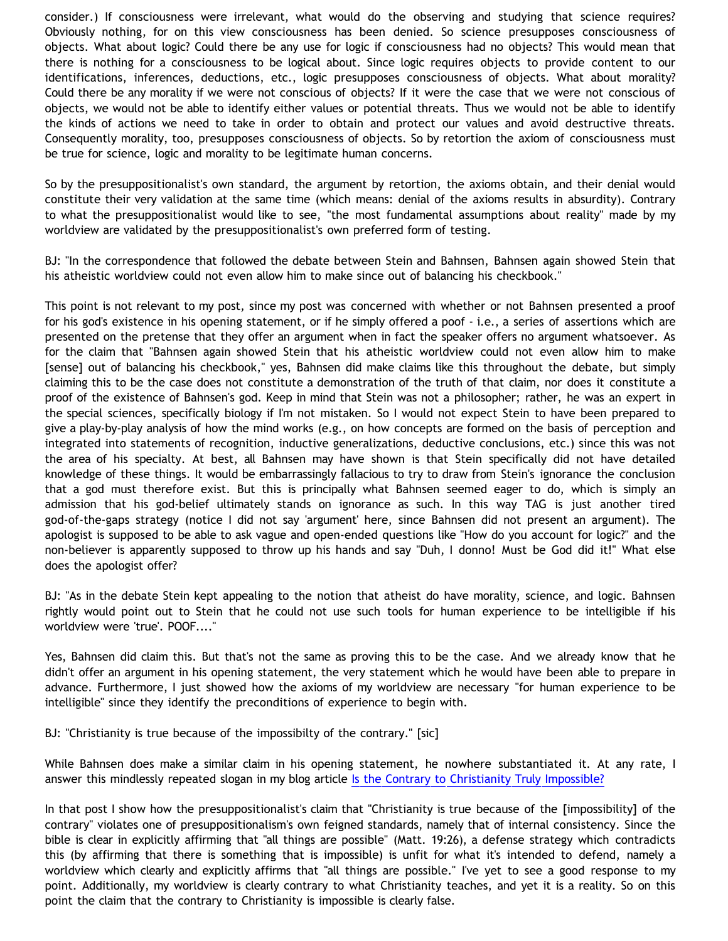consider.) If consciousness were irrelevant, what would do the observing and studying that science requires? Obviously nothing, for on this view consciousness has been denied. So science presupposes consciousness of objects. What about logic? Could there be any use for logic if consciousness had no objects? This would mean that there is nothing for a consciousness to be logical about. Since logic requires objects to provide content to our identifications, inferences, deductions, etc., logic presupposes consciousness of objects. What about morality? Could there be any morality if we were not conscious of objects? If it were the case that we were not conscious of objects, we would not be able to identify either values or potential threats. Thus we would not be able to identify the kinds of actions we need to take in order to obtain and protect our values and avoid destructive threats. Consequently morality, too, presupposes consciousness of objects. So by retortion the axiom of consciousness must be true for science, logic and morality to be legitimate human concerns.

So by the presuppositionalist's own standard, the argument by retortion, the axioms obtain, and their denial would constitute their very validation at the same time (which means: denial of the axioms results in absurdity). Contrary to what the presuppositionalist would like to see, "the most fundamental assumptions about reality" made by my worldview are validated by the presuppositionalist's own preferred form of testing.

BJ: "In the correspondence that followed the debate between Stein and Bahnsen, Bahnsen again showed Stein that his atheistic worldview could not even allow him to make since out of balancing his checkbook."

This point is not relevant to my post, since my post was concerned with whether or not Bahnsen presented a proof for his god's existence in his opening statement, or if he simply offered a poof - i.e., a series of assertions which are presented on the pretense that they offer an argument when in fact the speaker offers no argument whatsoever. As for the claim that "Bahnsen again showed Stein that his atheistic worldview could not even allow him to make [sense] out of balancing his checkbook," yes, Bahnsen did make claims like this throughout the debate, but simply claiming this to be the case does not constitute a demonstration of the truth of that claim, nor does it constitute a proof of the existence of Bahnsen's god. Keep in mind that Stein was not a philosopher; rather, he was an expert in the special sciences, specifically biology if I'm not mistaken. So I would not expect Stein to have been prepared to give a play-by-play analysis of how the mind works (e.g., on how concepts are formed on the basis of perception and integrated into statements of recognition, inductive generalizations, deductive conclusions, etc.) since this was not the area of his specialty. At best, all Bahnsen may have shown is that Stein specifically did not have detailed knowledge of these things. It would be embarrassingly fallacious to try to draw from Stein's ignorance the conclusion that a god must therefore exist. But this is principally what Bahnsen seemed eager to do, which is simply an admission that his god-belief ultimately stands on ignorance as such. In this way TAG is just another tired god-of-the-gaps strategy (notice I did not say 'argument' here, since Bahnsen did not present an argument). The apologist is supposed to be able to ask vague and open-ended questions like "How do you account for logic?" and the non-believer is apparently supposed to throw up his hands and say "Duh, I donno! Must be God did it!" What else does the apologist offer?

BJ: "As in the debate Stein kept appealing to the notion that atheist do have morality, science, and logic. Bahnsen rightly would point out to Stein that he could not use such tools for human experience to be intelligible if his worldview were 'true'. POOF...."

Yes, Bahnsen did claim this. But that's not the same as proving this to be the case. And we already know that he didn't offer an argument in his opening statement, the very statement which he would have been able to prepare in advance. Furthermore, I just showed how the axioms of my worldview are necessary "for human experience to be intelligible" since they identify the preconditions of experience to begin with.

BJ: "Christianity is true because of the impossibilty of the contrary." [sic]

While Bahnsen does make a similar claim in his opening statement, he nowhere substantiated it. At any rate, I answer this mindlessly repeated slogan in my blog article [Is the Contrary to Christianity Truly Impossible?](http://bahnsenburner.blogspot.com/2005/09/is-contrary-to-christianity-truly.html)

In that post I show how the presuppositionalist's claim that "Christianity is true because of the [impossibility] of the contrary" violates one of presuppositionalism's own feigned standards, namely that of internal consistency. Since the bible is clear in explicitly affirming that "all things are possible" (Matt. 19:26), a defense strategy which contradicts this (by affirming that there is something that is impossible) is unfit for what it's intended to defend, namely a worldview which clearly and explicitly affirms that "all things are possible." I've yet to see a good response to my point. Additionally, my worldview is clearly contrary to what Christianity teaches, and yet it is a reality. So on this point the claim that the contrary to Christianity is impossible is clearly false.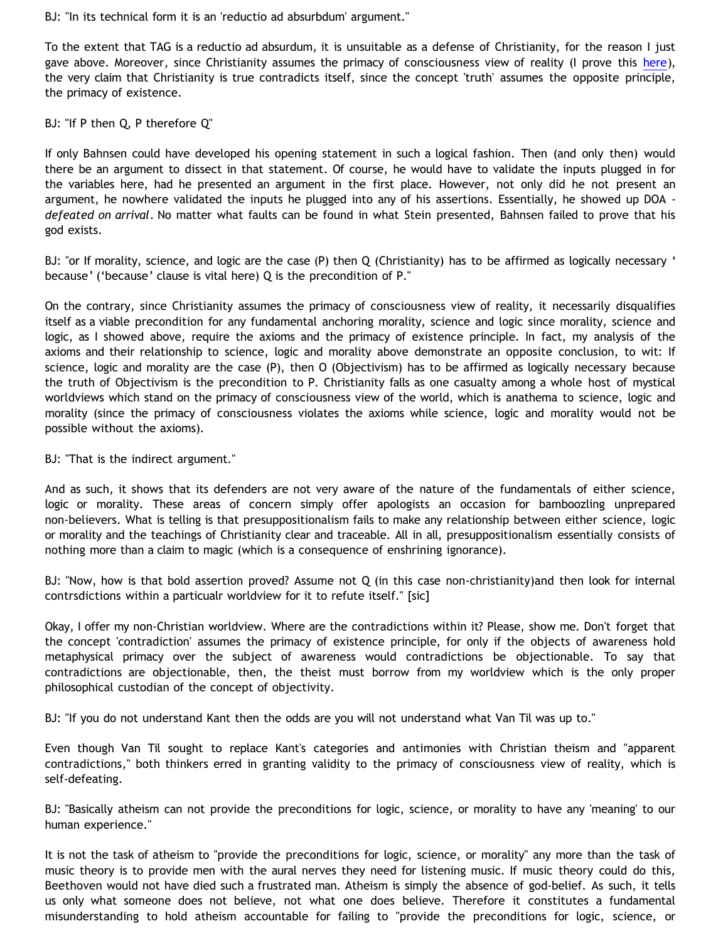BJ: "In its technical form it is an 'reductio ad absurbdum' argument."

To the extent that TAG is a reductio ad absurdum, it is unsuitable as a defense of Christianity, for the reason I just gave above. Moreover, since Christianity assumes the primacy of consciousness view of reality (I prove this [here\)](http://goosetheantithesis.blogspot.com/2005/10/question-of-day-2.html), the very claim that Christianity is true contradicts itself, since the concept 'truth' assumes the opposite principle, the primacy of existence.

BJ: "If P then Q, P therefore Q"

If only Bahnsen could have developed his opening statement in such a logical fashion. Then (and only then) would there be an argument to dissect in that statement. Of course, he would have to validate the inputs plugged in for the variables here, had he presented an argument in the first place. However, not only did he not present an argument, he nowhere validated the inputs he plugged into any of his assertions. Essentially, he showed up DOA *defeated on arrival*. No matter what faults can be found in what Stein presented, Bahnsen failed to prove that his god exists.

BJ: "or If morality, science, and logic are the case (P) then Q (Christianity) has to be affirmed as logically necessary ' because' ('because' clause is vital here) Q is the precondition of P."

On the contrary, since Christianity assumes the primacy of consciousness view of reality, it necessarily disqualifies itself as a viable precondition for any fundamental anchoring morality, science and logic since morality, science and logic, as I showed above, require the axioms and the primacy of existence principle. In fact, my analysis of the axioms and their relationship to science, logic and morality above demonstrate an opposite conclusion, to wit: If science, logic and morality are the case (P), then O (Objectivism) has to be affirmed as logically necessary because the truth of Objectivism is the precondition to P. Christianity falls as one casualty among a whole host of mystical worldviews which stand on the primacy of consciousness view of the world, which is anathema to science, logic and morality (since the primacy of consciousness violates the axioms while science, logic and morality would not be possible without the axioms).

BJ: "That is the indirect argument."

And as such, it shows that its defenders are not very aware of the nature of the fundamentals of either science, logic or morality. These areas of concern simply offer apologists an occasion for bamboozling unprepared non-believers. What is telling is that presuppositionalism fails to make any relationship between either science, logic or morality and the teachings of Christianity clear and traceable. All in all, presuppositionalism essentially consists of nothing more than a claim to magic (which is a consequence of enshrining ignorance).

BJ: "Now, how is that bold assertion proved? Assume not Q (in this case non-christianity)and then look for internal contrsdictions within a particualr worldview for it to refute itself." [sic]

Okay, I offer my non-Christian worldview. Where are the contradictions within it? Please, show me. Don't forget that the concept 'contradiction' assumes the primacy of existence principle, for only if the objects of awareness hold metaphysical primacy over the subject of awareness would contradictions be objectionable. To say that contradictions are objectionable, then, the theist must borrow from my worldview which is the only proper philosophical custodian of the concept of objectivity.

BJ: "If you do not understand Kant then the odds are you will not understand what Van Til was up to."

Even though Van Til sought to replace Kant's categories and antimonies with Christian theism and "apparent contradictions," both thinkers erred in granting validity to the primacy of consciousness view of reality, which is self-defeating.

BJ: "Basically atheism can not provide the preconditions for logic, science, or morality to have any 'meaning' to our human experience."

It is not the task of atheism to "provide the preconditions for logic, science, or morality" any more than the task of music theory is to provide men with the aural nerves they need for listening music. If music theory could do this, Beethoven would not have died such a frustrated man. Atheism is simply the absence of god-belief. As such, it tells us only what someone does not believe, not what one does believe. Therefore it constitutes a fundamental misunderstanding to hold atheism accountable for failing to "provide the preconditions for logic, science, or